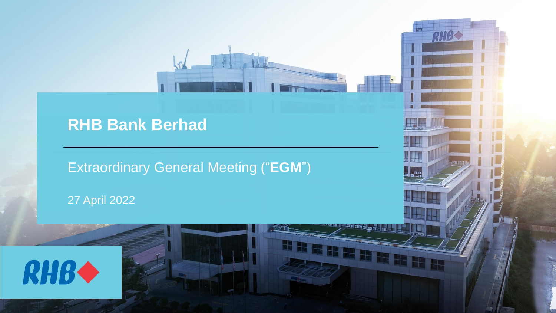# **RHB Bank Berhad**

Extraordinary General Meeting ("**EGM**")

RHB

27 April 2022

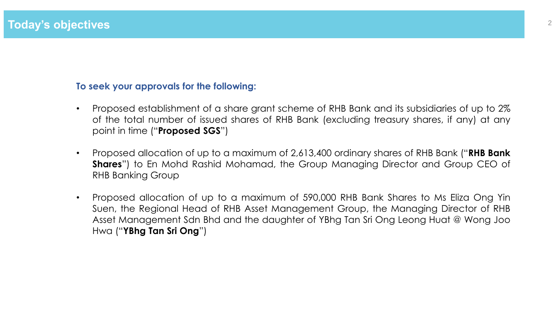### **To seek your approvals for the following:**

- Proposed establishment of a share grant scheme of RHB Bank and its subsidiaries of up to 2% of the total number of issued shares of RHB Bank (excluding treasury shares, if any) at any point in time ("**Proposed SGS**")
- Proposed allocation of up to a maximum of 2,613,400 ordinary shares of RHB Bank ("**RHB Bank Shares**") to En Mohd Rashid Mohamad, the Group Managing Director and Group CEO of RHB Banking Group
- Proposed allocation of up to a maximum of 590,000 RHB Bank Shares to Ms Eliza Ong Yin Suen, the Regional Head of RHB Asset Management Group, the Managing Director of RHB Asset Management Sdn Bhd and the daughter of YBhg Tan Sri Ong Leong Huat @ Wong Joo Hwa ("**YBhg Tan Sri Ong**")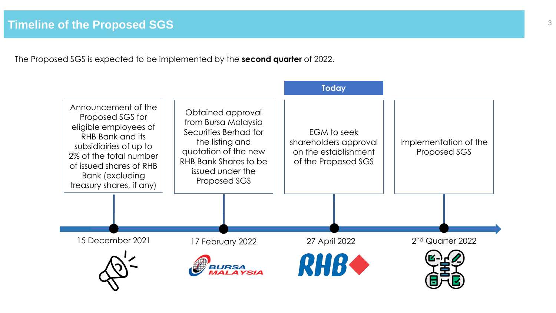The Proposed SGS is expected to be implemented by the **second quarter** of 2022.

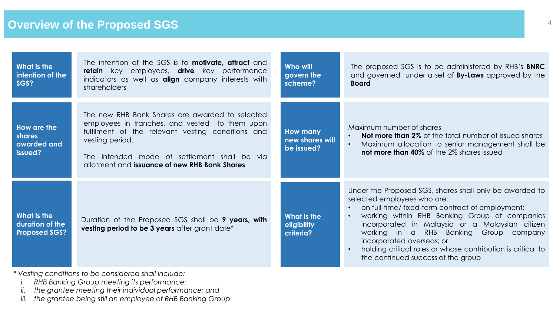| What is the<br>intention of the<br>SGS?                | The intention of the SGS is to <b>motivate</b> , <b>attract</b> and<br>retain key employees, drive key performance<br>indicators as well as <b>align</b> company interests with<br>shareholders                                                                            | Who will<br>govern the<br>scheme?                | The proposed SGS is to be administered by RHB's <b>BNRC</b><br>and governed under a set of <b>By-Laws</b> approved by the<br><b>Board</b>                                                                                                                                                                                                                                                                                  |
|--------------------------------------------------------|----------------------------------------------------------------------------------------------------------------------------------------------------------------------------------------------------------------------------------------------------------------------------|--------------------------------------------------|----------------------------------------------------------------------------------------------------------------------------------------------------------------------------------------------------------------------------------------------------------------------------------------------------------------------------------------------------------------------------------------------------------------------------|
| How are the<br>shares<br>awarded and<br>issued?        | The new RHB Bank Shares are awarded to selected<br>employees in tranches, and vested to them upon<br>fulfilment of the relevant vesting conditions and<br>vesting period.<br>The intended mode of settlement shall be via<br>allotment and issuance of new RHB Bank Shares | <b>How many</b><br>new shares will<br>be issued? | Maximum number of shares<br><b>Not more than 2%</b> of the total number of issued shares<br>Maximum allocation to senior management shall be<br><b>not more than 40%</b> of the 2% shares issued                                                                                                                                                                                                                           |
| What is the<br>duration of the<br><b>Proposed SGS?</b> | Duration of the Proposed SGS shall be 9 years, with<br>vesting period to be 3 years after grant date*                                                                                                                                                                      | What is the<br>eligibility<br>criteria?          | Under the Proposed SGS, shares shall only be awarded to<br>selected employees who are:<br>on full-time/ fixed-term contract of employment;<br>working within RHB Banking Group of companies<br>incorporated in Malaysia or a Malaysian citizen<br>working in a RHB Banking Group company<br>incorporated overseas; or<br>holding critical roles or whose contribution is critical to<br>the continued success of the group |

*\* Vesting conditions to be considered shall include:*

- *i. RHB Banking Group meeting its performance;*
- *ii. the grantee meeting their individual performance; and*
- *iii. the grantee being still an employee of RHB Banking Group*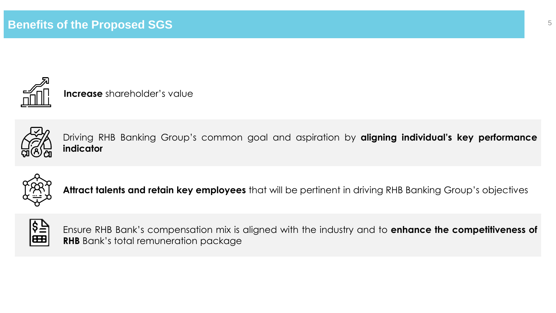

**Increase** shareholder's value



Driving RHB Banking Group's common goal and aspiration by **aligning individual's key performance indicator**



**Attract talents and retain key employees** that will be pertinent in driving RHB Banking Group's objectives



Ensure RHB Bank's compensation mix is aligned with the industry and to **enhance the competitiveness of RHB** Bank's total remuneration package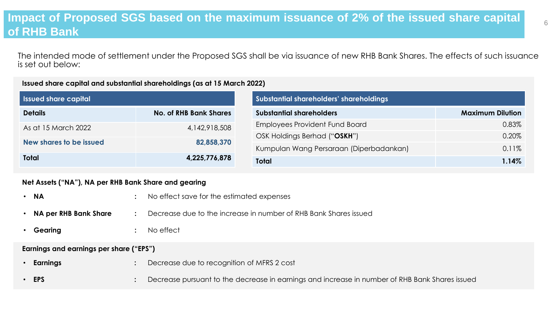## **Impact of Proposed SGS based on the maximum issuance of 2% of the issued share capital of RHB Bank**

The intended mode of settlement under the Proposed SGS shall be via issuance of new RHB Bank Shares. The effects of such issuance is set out below:

#### **Issued share capital and substantial shareholdings (as at 15 March 2022)**

| <b>Issued share capital</b>                     |                  | Substantial shareholders' shareholdings |                         |  |
|-------------------------------------------------|------------------|-----------------------------------------|-------------------------|--|
| <b>No. of RHB Bank Shares</b><br><b>Details</b> |                  | <b>Substantial shareholders</b>         | <b>Maximum Dilution</b> |  |
| As at 15 March 2022                             | 4, 142, 918, 508 | <b>Employees Provident Fund Board</b>   | 0.83%                   |  |
|                                                 |                  | OSK Holdings Berhad ("OSKH")            | 0.20%                   |  |
| New shares to be issued                         | 82,858,370       | Kumpulan Wang Persaraan (Diperbadankan) | 0.11%                   |  |
| <b>Total</b>                                    | 4,225,776,878    | <b>Total</b>                            | 1.14%                   |  |

### **Net Assets ("NA"), NA per RHB Bank Share and gearing**

| • NA                                    |  | No effect save for the estimated expenses                                                      |  |  |  |  |
|-----------------------------------------|--|------------------------------------------------------------------------------------------------|--|--|--|--|
| • NA per RHB Bank Share                 |  | Decrease due to the increase in number of RHB Bank Shares issued                               |  |  |  |  |
| Gearing                                 |  | No effect                                                                                      |  |  |  |  |
| Earnings and earnings per share ("EPS") |  |                                                                                                |  |  |  |  |
| Earnings                                |  | Decrease due to recognition of MFRS 2 cost                                                     |  |  |  |  |
| $\cdot$ EPS                             |  | Decrease pursuant to the decrease in earnings and increase in number of RHB Bank Shares issued |  |  |  |  |